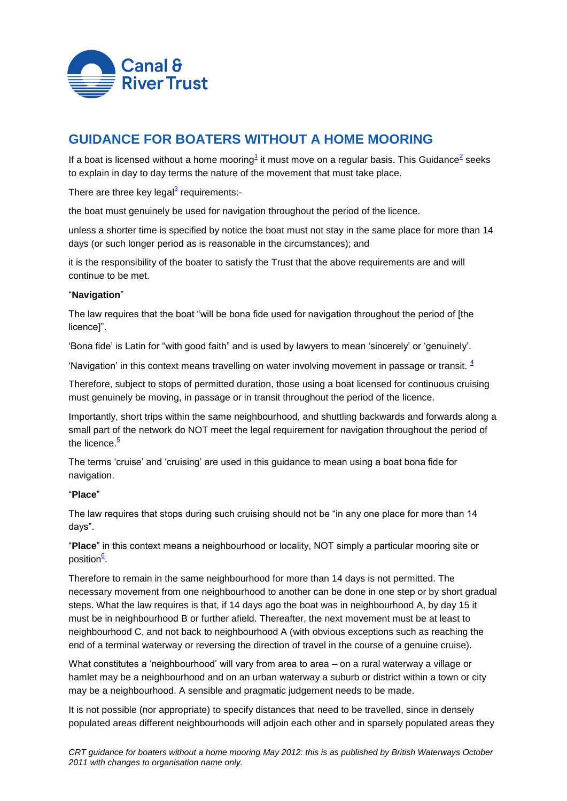

# **GUIDANCE FOR BOATERS WITHOUT A HOME MOORING**

If a boat is licensed without a home moori[ng](#page-1-0)<sup>1</sup> it must mov[e](#page-1-1) on a regular basis. This Guidance<sup>2</sup> seeks to explain in day to day terms the nature of the movement that must take place.

There are three key legal<sup>[3](#page-1-2)</sup> requirements:-

the boat must genuinely be used for navigation throughout the period of the licence.

unless a shorter time is specified by notice the boat must not stay in the same place for more than 14 days (or such longer period as is reasonable in the circumstances); and

it is the responsibility of the boater to satisfy the Trust that the above requirements are and will continue to be met.

### "**Navigation**"

The law requires that the boat "will be bona fide used for navigation throughout the period of [the licence]".

'Bona fide' is Latin for "with good faith" and is used by lawyers to mean 'sincerely' or 'genuinely'.

'Navigation' in this context means travelling on water involving movement in passage or transit.  $4$ 

Therefore, subject to stops of permitted duration, those using a boat licensed for continuous cruising must genuinely be moving, in passage or in transit throughout the period of the licence.

Importantly, short trips within the same neighbourhood, and shuttling backwards and forwards along a small part of the network do NOT meet the legal requirement for navigation throughout the period of the licence $\frac{5}{5}$ 

The terms 'cruise' and 'cruising' are used in this guidance to mean using a boat bona fide for navigation.

## "**Place**"

The law requires that stops during such cruising should not be "in any one place for more than 14 days".

"**Place**" in this context means a neighbourhood or locality, NOT simply a particular mooring site or positio[n](#page-2-2)<sup>6</sup>.

Therefore to remain in the same neighbourhood for more than 14 days is not permitted. The necessary movement from one neighbourhood to another can be done in one step or by short gradual steps. What the law requires is that, if 14 days ago the boat was in neighbourhood A, by day 15 it must be in neighbourhood B or further afield. Thereafter, the next movement must be at least to neighbourhood C, and not back to neighbourhood A (with obvious exceptions such as reaching the end of a terminal waterway or reversing the direction of travel in the course of a genuine cruise).

What constitutes a 'neighbourhood' will vary from area to area – on a rural waterway a village or hamlet may be a neighbourhood and on an urban waterway a suburb or district within a town or city may be a neighbourhood. A sensible and pragmatic judgement needs to be made.

It is not possible (nor appropriate) to specify distances that need to be travelled, since in densely populated areas different neighbourhoods will adjoin each other and in sparsely populated areas they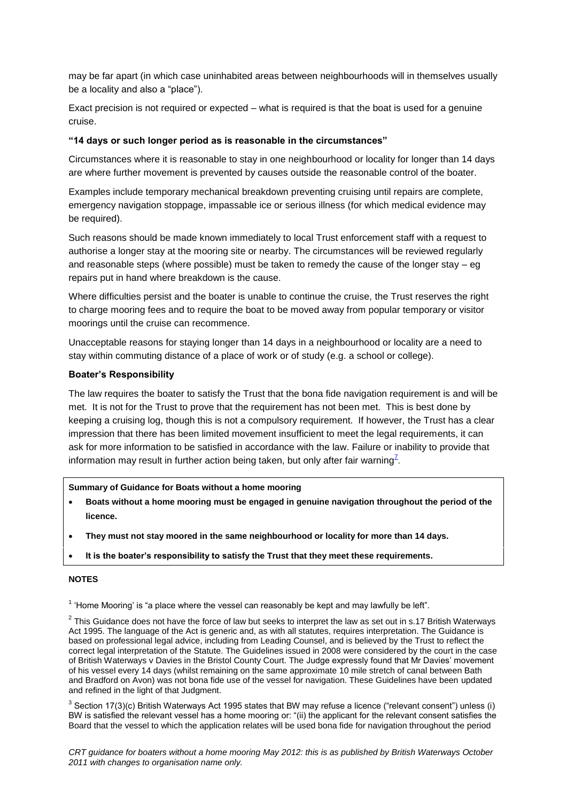may be far apart (in which case uninhabited areas between neighbourhoods will in themselves usually be a locality and also a "place").

Exact precision is not required or expected – what is required is that the boat is used for a genuine cruise.

#### **"14 days or such longer period as is reasonable in the circumstances"**

Circumstances where it is reasonable to stay in one neighbourhood or locality for longer than 14 days are where further movement is prevented by causes outside the reasonable control of the boater.

Examples include temporary mechanical breakdown preventing cruising until repairs are complete, emergency navigation stoppage, impassable ice or serious illness (for which medical evidence may be required).

Such reasons should be made known immediately to local Trust enforcement staff with a request to authorise a longer stay at the mooring site or nearby. The circumstances will be reviewed regularly and reasonable steps (where possible) must be taken to remedy the cause of the longer stay – eg repairs put in hand where breakdown is the cause.

Where difficulties persist and the boater is unable to continue the cruise, the Trust reserves the right to charge mooring fees and to require the boat to be moved away from popular temporary or visitor moorings until the cruise can recommence.

Unacceptable reasons for staying longer than 14 days in a neighbourhood or locality are a need to stay within commuting distance of a place of work or of study (e.g. a school or college).

#### **Boater's Responsibility**

The law requires the boater to satisfy the Trust that the bona fide navigation requirement is and will be met. It is not for the Trust to prove that the requirement has not been met. This is best done by keeping a cruising log, though this is not a compulsory requirement. If however, the Trust has a clear impression that there has been limited movement insufficient to meet the legal requirements, it can ask for more information to be satisfied in accordance with the law. Failure or inability to provide that information may result in further action being taken, but only after fair warning<sup>[7](#page-2-3)</sup>.

#### **Summary of Guidance for Boats without a home mooring**

- **Boats without a home mooring must be engaged in genuine navigation throughout the period of the licence.**
- **They must not stay moored in the same neighbourhood or locality for more than 14 days.**
- **It is the boater's responsibility to satisfy the Trust that they meet these requirements.**

#### **NOTES**

<span id="page-1-0"></span> $1$  'Home Mooring' is "a place where the vessel can reasonably be kept and may lawfully be left".

<span id="page-1-1"></span> $2$  This Guidance does not have the force of law but seeks to interpret the law as set out in s.17 British Waterways Act 1995. The language of the Act is generic and, as with all statutes, requires interpretation. The Guidance is based on professional legal advice, including from Leading Counsel, and is believed by the Trust to reflect the correct legal interpretation of the Statute. The Guidelines issued in 2008 were considered by the court in the case of British Waterways v Davies in the Bristol County Court. The Judge expressly found that Mr Davies' movement of his vessel every 14 days (whilst remaining on the same approximate 10 mile stretch of canal between Bath and Bradford on Avon) was not bona fide use of the vessel for navigation. These Guidelines have been updated and refined in the light of that Judgment.

<span id="page-1-2"></span><sup>3</sup> Section 17(3)(c) British Waterways Act 1995 states that BW may refuse a licence ("relevant consent") unless (i) BW is satisfied the relevant vessel has a home mooring or: "(ii) the applicant for the relevant consent satisfies the Board that the vessel to which the application relates will be used bona fide for navigation throughout the period

*CRT guidance for boaters without a home mooring May 2012: this is as published by British Waterways October 2011 with changes to organisation name only.*